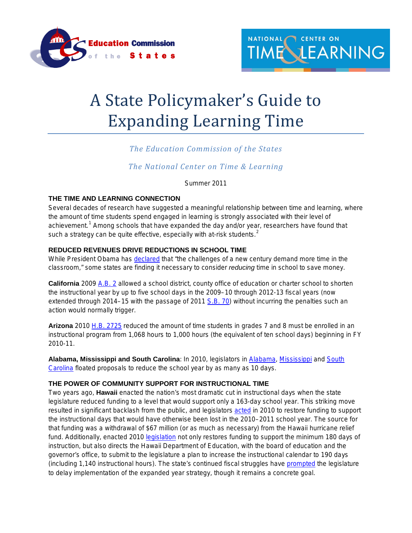

# A State Policymaker's Guide to Expanding Learning Time

# *The Education Commission of the States*

# *The National Center on Time & Learning*

Summer 2011

# **THE TIME AND LEARNING CONNECTION**

Several decades of research have suggested a meaningful relationship between time and learning, where the amount of time students spend engaged in learning is strongly associated with their level of achievement.<sup>[1](#page-3-0)</sup> Among schools that have expanded the day and/or year, researchers have found that such a strategy can be quite effective, especially with at-risk students. $<sup>2</sup>$  $<sup>2</sup>$  $<sup>2</sup>$ </sup>

# **REDUCED REVENUES DRIVE REDUCTIONS IN SCHOOL TIME**

While President Obama has <u>[declared](http://www.whitehouse.gov/the-press-office/remarks-president-united-states-hispanic-chamber-commerce)</u> that "the challenges of a new century demand more time in the classroom," some states are finding it necessary to consider *reducing* time in school to save money.

**California** 2009 [A.B. 2](http://www.leginfo.ca.gov/pub/09-10/bill/asm/ab_0001-0050/abx4_2_bill_20090728_chaptered.pdf) allowed a school district, county office of education or charter school to shorten the instructional year by up to five school days in the 2009–10 through 2012-13 fiscal years (now extended through 2014–15 with the passage of 2011 [S.B. 70\)](http://www.leginfo.ca.gov/pub/11-12/bill/sen/sb_0051-0100/sb_70_bill_20110324_chaptered.html) without incurring the penalties such an action would normally trigger.

**Arizona** 2010 [H.B. 2725](http://www.azleg.gov/legtext/49leg/2r/bills/hb2725s.pdf) reduced the amount of time students in grades 7 and 8 must be enrolled in an instructional program from 1,068 hours to 1,000 hours (the equivalent of ten school days) beginning in FY 2010-11.

**Alabama, Mississippi and South Carolina**: In 2010, legislators in [Alabama,](http://www.myfoxal.com/story/14220961/state-senator-proposes-shorter-school-year?clienttype=printable) [Mississippi](http://www.commercialappeal.com/news/2010/mar/03/miss-eyes-shorter-school-year/) and [South](http://www2.scnow.com/news/2010/nov/19/shorter-school-year-considered-ar-1111306/)  [Carolina](http://www2.scnow.com/news/2010/nov/19/shorter-school-year-considered-ar-1111306/) floated proposals to reduce the school year by as many as 10 days.

## **THE POWER OF COMMUNITY SUPPORT FOR INSTRUCTIONAL TIME**

Two years ago, **Hawaii** enacted the nation's most dramatic cut in instructional days when the state legislature reduced funding to a level that would support only a 163-day school year. This striking move resulted in significant backlash from the public, and legislators [acted](http://www.capitol.hawaii.gov/session2010/Bills/SB2124_CD1_.HTM) in 2010 to restore funding to support the instructional days that would have otherwise been lost in the 2010–2011 school year. The source for that funding was a withdrawal of \$67 million (or as much as necessary) from the Hawaii hurricane relief fund. Additionally, enacted 2010 [legislation](http://www.capitol.hawaii.gov/session2010/Bills/HB2486_CD1_.HTM) not only restores funding to support the minimum 180 days of instruction, but also directs the Hawaii Department of Education, with the board of education and the governor's office, to submit to the legislature a plan to increase the instructional calendar to 190 days (including 1,140 instructional hours). The state's continued fiscal struggles have [prompted](http://www.capitol.hawaii.gov/session2011/Bills/HB945_CD1_.HTM) the legislature to delay implementation of the expanded year strategy, though it remains a concrete goal.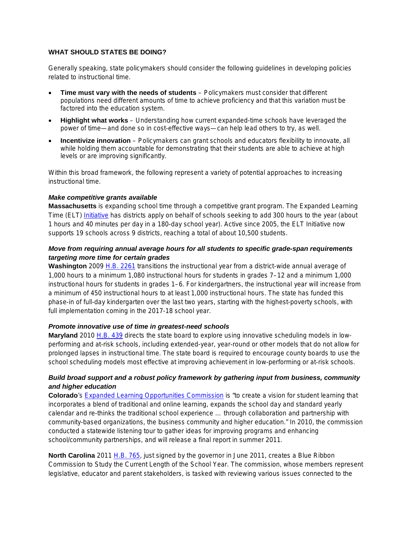## **WHAT SHOULD STATES BE DOING?**

Generally speaking, state policymakers should consider the following guidelines in developing policies related to instructional time.

- **Time must vary with the needs of students** Policymakers must consider that different populations need different amounts of time to achieve proficiency and that this variation must be factored into the education system.
- **Highlight what works** Understanding how current expanded-time schools have leveraged the power of time—and done so in cost-effective ways—can help lead others to try, as well.
- **Incentivize innovation** Policymakers can grant schools and educators flexibility to innovate, all while holding them accountable for demonstrating that their students are able to achieve at high levels or are improving significantly.

Within this broad framework, the following represent a variety of potential approaches to increasing instructional time.

#### *Make competitive grants available*

**Massachusetts** is expanding school time through a competitive grant program. The Expanded Learning Time (ELT) [Initiative](http://www.doe.mass.edu/redesign/elt/) has districts apply on behalf of schools seeking to add 300 hours to the year (about 1 hours and 40 minutes per day in a 180-day school year). Active since 2005, the ELT Initiative now supports 19 schools across 9 districts, reaching a total of about 10,500 students.

# *Move from requiring annual average hours for all students to specific grade-span requirements targeting more time for certain grades*

**Washington** 2009 [H.B. 2261](http://apps.leg.wa.gov/documents/billdocs/2009-10/Pdf/Bills/House%20Passed%20Legislature/2261-S.PL.pdf) transitions the instructional year from a district-wide annual average of 1,000 hours to a minimum 1,080 instructional hours for students in grades 7–12 and a minimum 1,000 instructional hours for students in grades 1–6. For kindergartners, the instructional year will increase from a minimum of 450 instructional hours to at least 1,000 instructional hours. The state has funded this phase-in of full-day kindergarten over the last two years, starting with the highest-poverty schools, with full implementation coming in the 2017-18 school year.

#### *Promote innovative use of time in greatest-need schools*

**Maryland** 2010 [H.B. 439](http://mlis.state.md.us/2010rs/bills/hb/hb0439t.pdf) directs the state board to explore using innovative scheduling models in lowperforming and at-risk schools, including extended-year, year-round or other models that do not allow for prolonged lapses in instructional time. The state board is required to encourage county boards to use the school scheduling models most effective at improving achievement in low-performing or at-risk schools.

## *Build broad support and a robust policy framework by gathering input from business, community and higher education*

**Colorado**'s [Expanded Learning Opportunities Commission](http://www.cde.state.co.us/communications/download/PDF/20101021elotour.pdf) is "to create a vision for student learning that incorporates a blend of traditional and online learning, expands the school day and standard yearly calendar and re-thinks the traditional school experience … through collaboration and partnership with community-based organizations, the business community and higher education." In 2010, the commission conducted a statewide listening tour to gather ideas for improving programs and enhancing school/community partnerships, and will release a final report in summer 2011.

**North Carolina** 2011 [H.B. 765,](http://www.ncga.state.nc.us/Sessions/2011/Bills/House/PDF/H765v4.pdf) just signed by the governor in June 2011, creates a Blue Ribbon Commission to Study the Current Length of the School Year. The commission, whose members represent legislative, educator and parent stakeholders, is tasked with reviewing various issues connected to the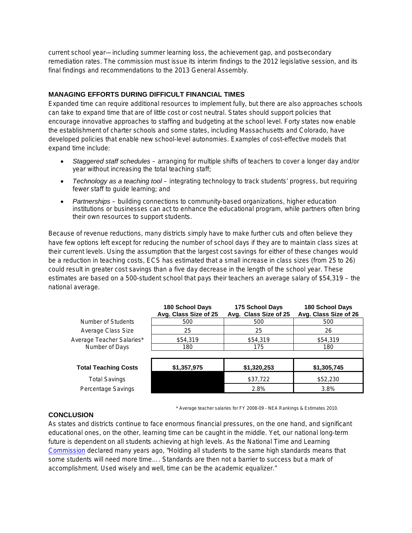current school year—including summer learning loss, the achievement gap, and postsecondary remediation rates. The commission must issue its interim findings to the 2012 legislative session, and its final findings and recommendations to the 2013 General Assembly.

## **MANAGING EFFORTS DURING DIFFICULT FINANCIAL TIMES**

Expanded time can require additional resources to implement fully, but there are also approaches schools can take to expand time that are of little cost or cost neutral. States should support policies that encourage innovative approaches to staffing and budgeting at the school level. Forty states now enable the establishment of charter schools and some states, including Massachusetts and Colorado, have developed policies that enable new school-level autonomies. Examples of cost-effective models that expand time include:

- *Staggered staff schedules* arranging for multiple shifts of teachers to cover a longer day and/or year without increasing the total teaching staff;
- *Technology as a teaching tool* integrating technology to track students' progress, but requiring fewer staff to guide learning; and
- *Partnerships* building connections to community-based organizations, higher education institutions or businesses can act to enhance the educational program, while partners often bring their own resources to support students.

Because of revenue reductions, many districts simply have to make further cuts and often believe they have few options left except for reducing the number of school days if they are to maintain class sizes at their current levels. Using the assumption that the largest cost savings for either of these changes would be a reduction in teaching costs, ECS has estimated that a small increase in class sizes (from 25 to 26) could result in greater cost savings than a five day decrease in the length of the school year. These estimates are based on a 500-student school that pays their teachers an average salary of \$54,319 – the national average.

|                             | <b>180 School Days</b><br>Avg. Class Size of 25 | 175 School Days<br>Avg. Class Size of 25 | <b>180 School Days</b><br>Avg. Class Size of 26 |
|-----------------------------|-------------------------------------------------|------------------------------------------|-------------------------------------------------|
| Number of Students          | 500                                             | 500                                      | 500                                             |
| Average Class Size          | 25                                              | 25                                       | 26                                              |
| Average Teacher Salaries*   | \$54,319                                        | \$54,319                                 | \$54,319                                        |
| Number of Days              | 180                                             | 175                                      | 180                                             |
|                             |                                                 |                                          |                                                 |
| <b>Total Teaching Costs</b> | \$1,357,975                                     | \$1,320,253                              | \$1,305,745                                     |
| <b>Total Savings</b>        |                                                 | \$37,722                                 | \$52,230                                        |
| Percentage Savings          |                                                 | 2.8%                                     | 3.8%                                            |

\* Average teacher salaries for FY 2008-09 - NEA Rankings & Estimates 2010.

## **CONCLUSION**

As states and districts continue to face enormous financial pressures, on the one hand, and significant educational ones, on the other, learning time can be caught in the middle. Yet, our national long-term future is dependent on all students achieving at high levels. As the National Time and Learning [Commission](http://www2.ed.gov/pubs/PrisonersOfTime/Prisoners.html) declared many years ago, "Holding all students to the same high standards means that some students will need more time…. Standards are then not a barrier to success but a mark of accomplishment. Used wisely and well, time can be the academic equalizer."